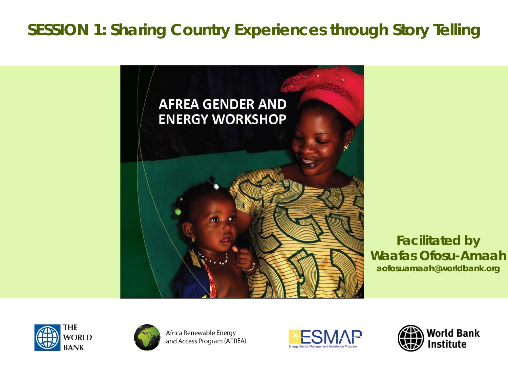#### **SESSION 1: Sharing Country Experiences through Story Telling**



**Facilitated by Waafas Ofosu-Amaah** aofosuamaah@worldbank.org





Africa Renewable Energy and Access Program (AFREA)



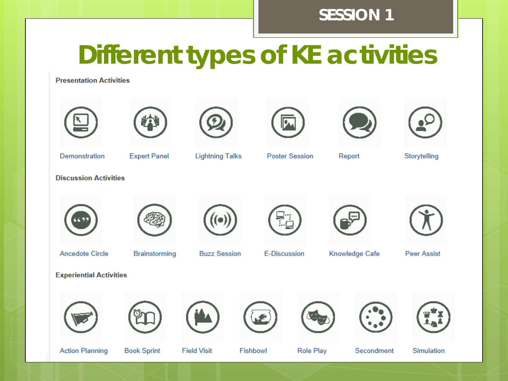#### **SESSION 1**

### **Different types of KE activities**

**Presentation Activities** 













Demonstration

**Expert Panel** 

**Lightning Talks** 

**Poster Session** 

Report

Storytelling

**Discussion Activities** 











**Ancedote Circle** 

**Brainstorming** 

**Buzz Session** 

E-Discussion

Knowledge Cafe

**Peer Assist** 

**Experiential Activities** 

















**Action Planning** 

**Book Sprint** 

**Field Visit** 

Fishbowl

**Role Play** 

Secondment

**Simulation** 

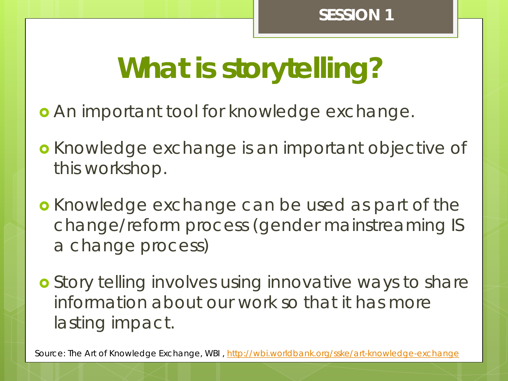# **What is storytelling?**

- An important tool for knowledge exchange.
- **o** Knowledge exchange is an important objective of this workshop.
- **o** Knowledge exchange can be used as part of the change/reform process (gender mainstreaming IS a change process)
- **o** Story telling involves using innovative ways to share information about our work so that it has more lasting impact.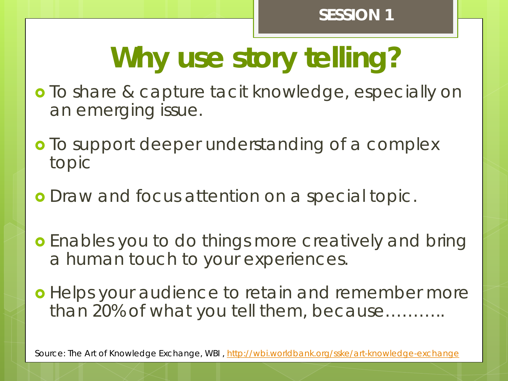# **Why use story telling?**

- **o** To share & capture tacit knowledge, especially on an emerging issue.
- o To support deeper understanding of a complex topic
- **o** Draw and focus attention on a special topic.
- **o** Enables you to do things more creatively and bring a human touch to your experiences.
- **o** Helps your audience to retain and remember more than 20% of what you tell them, because………..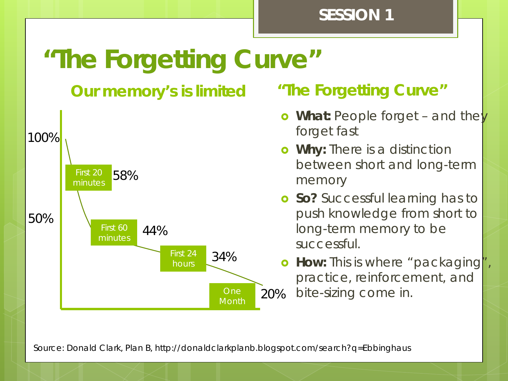#### **SESSION 1**

### **"The Forgetting Curve"**

### **Our memory's is limited "The Forgetting Curve"**



- **o** What: People forget and they forget fast
- **Why:** There is a distinction between short and long-term memory
- **o** So? Successful learning has to push knowledge from short to long-term memory to be successful.
- **How:** This is where "packaging", practice, reinforcement, and bite-sizing come in.

Source: Donald Clark, Plan B, http://donaldclarkplanb.blogspot.com/search?q=Ebbinghaus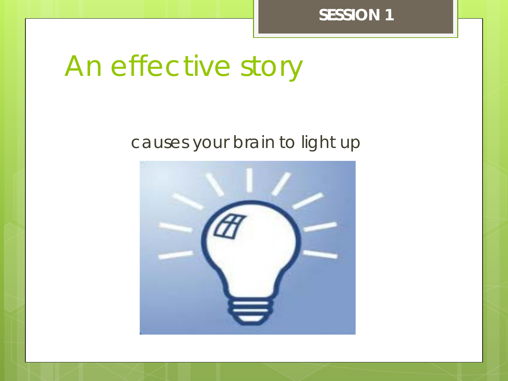**SESSION 1**

## An effective story

#### causes your brain to light up

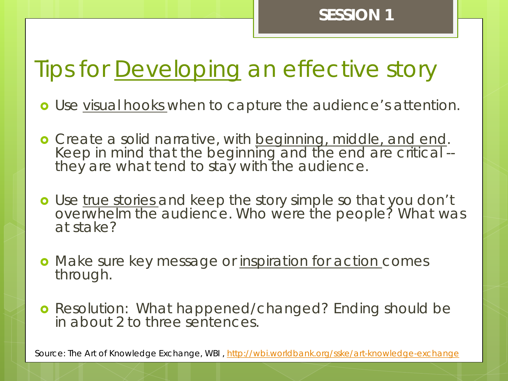### Tips for Developing an effective story

- Use visual hooks when to capture the audience's attention.
- Create a solid narrative, with beginning, middle, and end. Keep in mind that the beginning and the end are critical -- they are what tend to stay with the audience.
- o Use true stories and keep the story simple so that you don't overwhelm the audience. Who were the people? What was at stake?
- o Make sure key message or inspiration for action comes through.
- **o** Resolution: What happened/changed? Ending should be in about 2 to three sentences.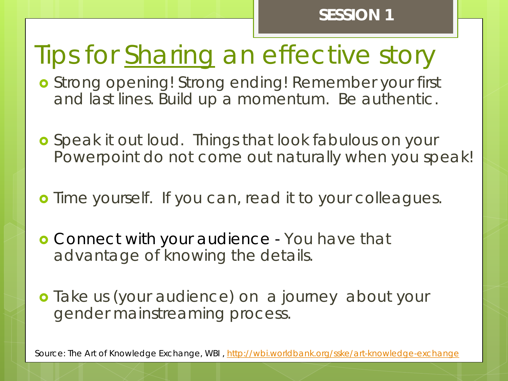### Tips for Sharing an effective story

- **o** Strong opening! Strong ending! Remember your first and last lines. Build up a momentum. Be authentic.
- **o** Speak it out loud. Things that look fabulous on your Powerpoint do not come out naturally when you speak!
- **o** Time yourself. If you can, read it to your colleagues.
- **o** Connect with your audience You have that advantage of knowing the details.
- **o** Take us (your audience) on a journey about your gender mainstreaming process.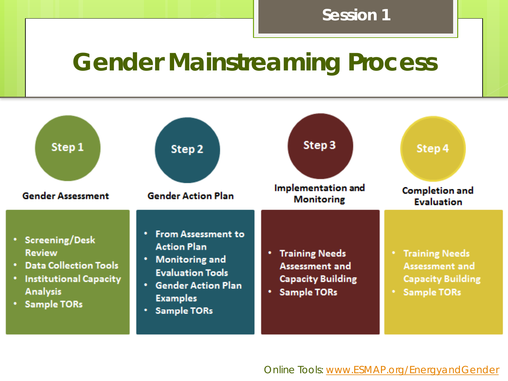#### **Session 1**

### **Gender Mainstreaming Process**

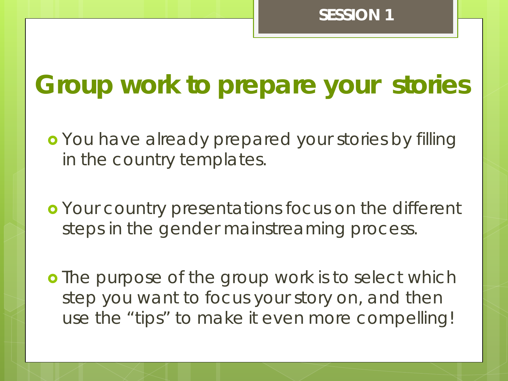### **Group work to prepare your stories**

- **o** You have already prepared your stories by filling in the country templates.
- Your country presentations focus on the different steps in the gender mainstreaming process.
- **o** The purpose of the group work is to select which step you want to focus your story on, and then use the "tips" to make it even more compelling!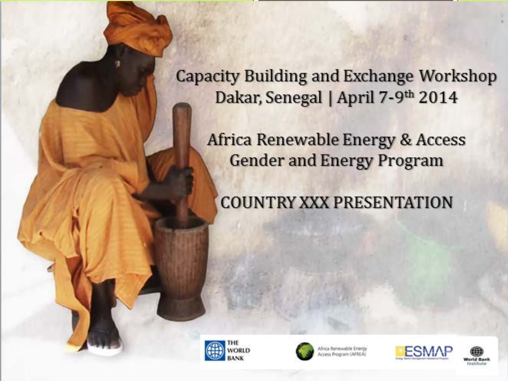**Capacity Building and Exchange Workshop** Dakar, Senegal | April 7-9th 2014

Africa Renewable Energy & Access **Gender and Energy Program** 

**COUNTRY XXX PRESENTATION** 





ica Renewable Energy cess Program (APREA)



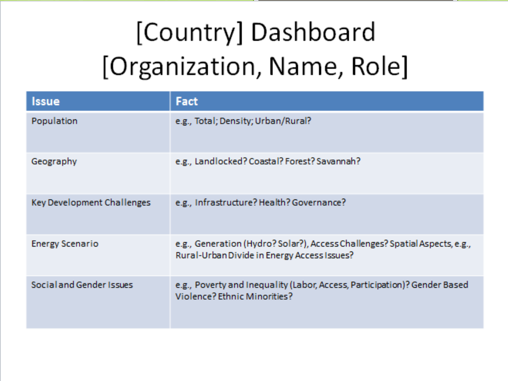# [Country] Dashboard [Organization, Name, Role]

| Issue                      | Fact                                                                                                                       |
|----------------------------|----------------------------------------------------------------------------------------------------------------------------|
| Population                 | e.g., Total; Density; Urban/Rural?                                                                                         |
| Geography                  | e.g., Landlocked? Coastal? Forest? Savannah?                                                                               |
| Key Development Challenges | e.g., Infrastructure? Health? Governance?                                                                                  |
| <b>Energy Scenario</b>     | e.g., Generation (Hydro? Solar?), Access Challenges? Spatial Aspects, e.g.,<br>Rural-Urban Divide in Energy Access Issues? |
| Social and Gender Issues   | e.g., Poverty and Inequality (Labor, Access, Participation)? Gender Based<br>Violence? Ethnic Minorities?                  |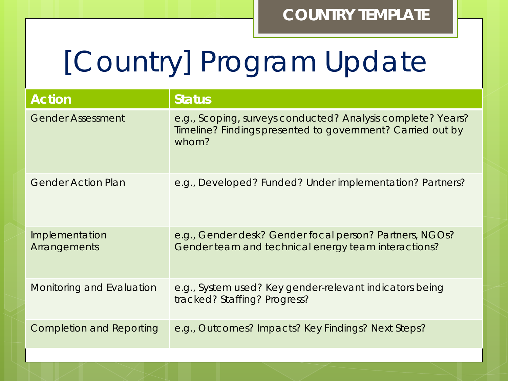# [Country] Program Update

| <b>Action</b>                   | <b>Status</b>                                                                                                                      |
|---------------------------------|------------------------------------------------------------------------------------------------------------------------------------|
| <b>Gender Assessment</b>        | e.g., Scoping, surveys conducted? Analysis complete? Years?<br>Timeline? Findings presented to government? Carried out by<br>whom? |
| <b>Gender Action Plan</b>       | e.g., Developed? Funded? Under implementation? Partners?                                                                           |
| Implementation<br>Arrangements  | e.g., Gender desk? Gender focal person? Partners, NGOs?<br>Gender team and technical energy team interactions?                     |
| Monitoring and Evaluation       | e.g., System used? Key gender-relevant indicators being<br>tracked? Staffing? Progress?                                            |
| <b>Completion and Reporting</b> | e.g., Outcomes? Impacts? Key Findings? Next Steps?                                                                                 |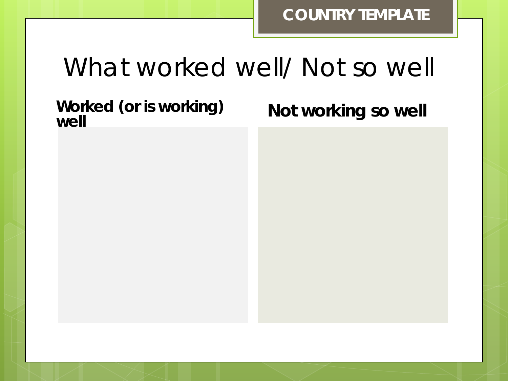### What worked well/ Not so well

**Worked (or is working)** 

**Not working so well**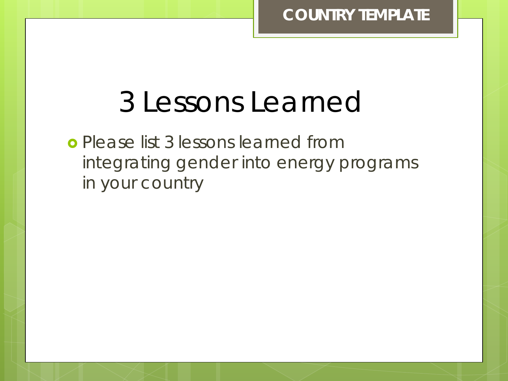### 3 Lessons Learned

 *Please list 3 lessons learned from integrating gender into energy programs in your country*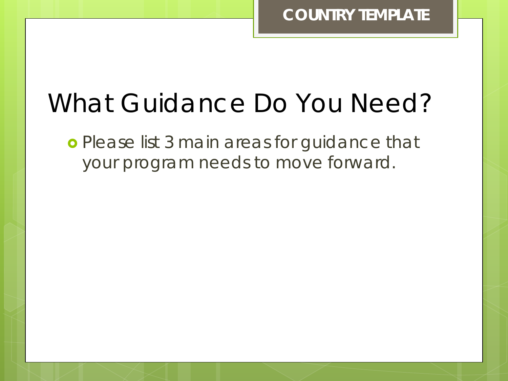### What Guidance Do You Need?

 *Please list 3 main areas for guidance that your program needs to move forward.*